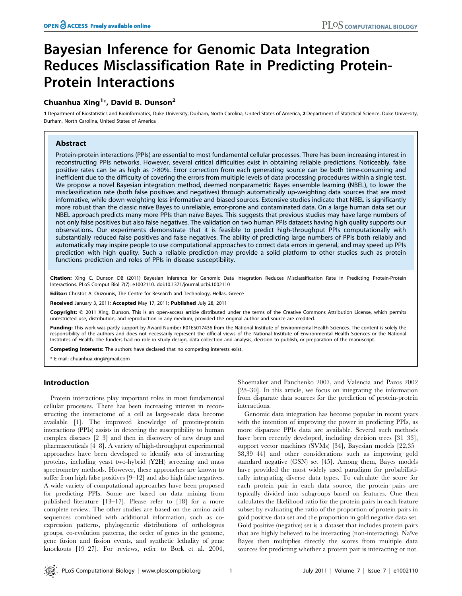# Bayesian Inference for Genomic Data Integration Reduces Misclassification Rate in Predicting Protein-Protein Interactions

# Chuanhua Xing<sup>1</sup>\*, David B. Dunson<sup>2</sup>

1 Department of Biostatistics and Bioinformatics, Duke University, Durham, North Carolina, United States of America, 2 Department of Statistical Science, Duke University, Durham, North Carolina, United States of America

# Abstract

Protein-protein interactions (PPIs) are essential to most fundamental cellular processes. There has been increasing interest in reconstructing PPIs networks. However, several critical difficulties exist in obtaining reliable predictions. Noticeably, false positive rates can be as high as >80%. Error correction from each generating source can be both time-consuming and inefficient due to the difficulty of covering the errors from multiple levels of data processing procedures within a single test. We propose a novel Bayesian integration method, deemed nonparametric Bayes ensemble learning (NBEL), to lower the misclassification rate (both false positives and negatives) through automatically up-weighting data sources that are most informative, while down-weighting less informative and biased sources. Extensive studies indicate that NBEL is significantly more robust than the classic naïve Bayes to unreliable, error-prone and contaminated data. On a large human data set our NBEL approach predicts many more PPIs than naïve Bayes. This suggests that previous studies may have large numbers of not only false positives but also false negatives. The validation on two human PPIs datasets having high quality supports our observations. Our experiments demonstrate that it is feasible to predict high-throughput PPIs computationally with substantially reduced false positives and false negatives. The ability of predicting large numbers of PPIs both reliably and automatically may inspire people to use computational approaches to correct data errors in general, and may speed up PPIs prediction with high quality. Such a reliable prediction may provide a solid platform to other studies such as protein functions prediction and roles of PPIs in disease susceptibility.

Citation: Xing C, Dunson DB (2011) Bayesian Inference for Genomic Data Integration Reduces Misclassification Rate in Predicting Protein-Protein Interactions. PLoS Comput Biol 7(7): e1002110. doi:10.1371/journal.pcbi.1002110

Editor: Christos A. Ouzounis, The Centre for Research and Technology, Hellas, Greece

Received January 3, 2011; Accepted May 17, 2011; Published July 28, 2011

Copyright: © 2011 Xing, Dunson. This is an open-access article distributed under the terms of the Creative Commons Attribution License, which permits unrestricted use, distribution, and reproduction in any medium, provided the original author and source are credited.

Funding: This work was partly support by Award Number R01ES017436 from the National Institute of Environmental Health Sciences. The content is solely the responsibility of the authors and does not necessarily represent the official views of the National Institute of Environmental Health Sciences or the National Institutes of Health. The funders had no role in study design, data collection and analysis, decision to publish, or preparation of the manuscript.

Competing Interests: The authors have declared that no competing interests exist.

\* E-mail: chuanhua.xing@gmail.com

# Introduction

Protein interactions play important roles in most fundamental cellular processes. There has been increasing interest in reconstructing the interactome of a cell as large-scale data become available [1]. The improved knowledge of protein-protein interactions (PPIs) assists in detecting the susceptibility to human complex diseases [2–3] and then in discovery of new drugs and pharmaceuticals [4–8]. A variety of high-throughput experimental approaches have been developed to identify sets of interacting proteins, including yeast two-hybrid (Y2H) screening and mass spectrometry methods. However, these approaches are known to suffer from high false positives [9–12] and also high false negatives. A wide variety of computational approaches have been proposed for predicting PPIs. Some are based on data mining from published literature [13–17]. Please refer to [18] for a more complete review. The other studies are based on the amino acid sequences combined with additional information, such as coexpression patterns, phylogenetic distributions of orthologous groups, co-evolution patterns, the order of genes in the genome, gene fusion and fission events, and synthetic lethality of gene knockouts [19–27]. For reviews, refer to Bork et al. 2004,

Shoemaker and Panchenko 2007, and Valencia and Pazos 2002 [28–30]. In this article, we focus on integrating the information from disparate data sources for the prediction of protein-protein interactions.

Genomic data integration has become popular in recent years with the intention of improving the power in predicting PPIs, as more disparate PPIs data are available. Several such methods have been recently developed, including decision trees [31–33], support vector machines (SVMs) [34], Bayesian models [22,35– 38,39–44] and other considerations such as improving gold standard negative (GSN) set [45]. Among them, Bayes models have provided the most widely used paradigm for probabilistically integrating diverse data types. To calculate the score for each protein pair in each data source, the protein pairs are typically divided into subgroups based on features. One then calculates the likelihood ratio for the protein pairs in each feature subset by evaluating the ratio of the proportion of protein pairs in gold positive data set and the proportion in gold negative data set. Gold positive (negative) set is a dataset that includes protein pairs that are highly believed to be interacting (non-interacting). Naïve Bayes then multiplies directly the scores from multiple data sources for predicting whether a protein pair is interacting or not.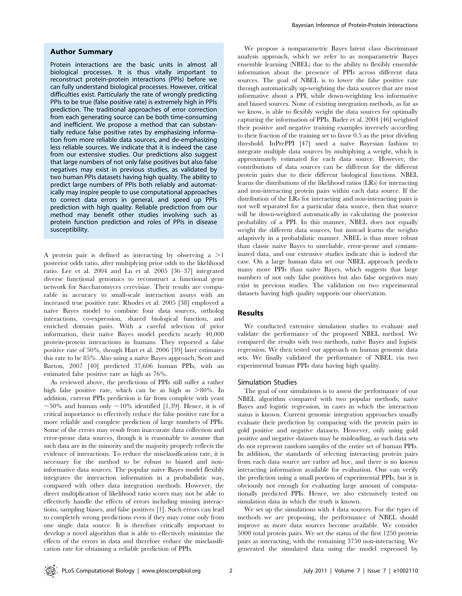#### Author Summary

Protein interactions are the basic units in almost all biological processes. It is thus vitally important to reconstruct protein-protein interactions (PPIs) before we can fully understand biological processes. However, critical difficulties exist. Particularly the rate of wrongly predicting PPIs to be true (false positive rate) is extremely high in PPIs prediction. The traditional approaches of error correction from each generating source can be both time-consuming and inefficient. We propose a method that can substantially reduce false positive rates by emphasizing information from more reliable data sources, and de-emphasizing less reliable sources. We indicate that it is indeed the case from our extensive studies. Our predictions also suggest that large numbers of not only false positives but also false negatives may exist in previous studies, as validated by two human PPIs datasets having high quality. The ability to predict large numbers of PPIs both reliably and automatically may inspire people to use computational approaches to correct data errors in general, and speed up PPIs prediction with high quality. Reliable prediction from our method may benefit other studies involving such as protein function prediction and roles of PPIs in disease susceptibility.

A protein pair is defined as interacting by observing  $a >1$ posterior odds ratio, after multiplying prior odds to the likelihood ratio. Lee et al. 2004 and Lu et al. 2005 [36–37] integrated diverse functional genomics to reconstruct a functional gene network for Saccharomyces cerevisiae. Their results are comparable in accuracy to small-scale interaction assays with an increased true positive rate. Rhodes et al. 2005 [38] employed a naïve Bayes model to combine four data sources, ortholog interactions, co-expression, shared biological function, and enriched domain pairs. With a careful selection of prior information, their naïve Bayes model predicts nearly 40,000 protein-protein interactions in humans. They reported a false positive rate of 50%, though Hart et al. 2006 [39] later estimates this rate to be 85%. Also using a naïve Bayes approach, Scott and Barton, 2007 [40] predicted 37,606 human PPIs, with an estimated false positive rate as high as 76%.

As reviewed above, the predictions of PPIs still suffer a rather high false positive rate, which can be as high as  $>80\%$ . In addition, current PPIs prediction is far from complete with yeast  $\sim$ 50% and human only  $\sim$ 10% identified [1,39]. Hence, it is of critical importance to effectively reduce the false positive rate for a more reliable and complete prediction of large numbers of PPIs. Some of the errors may result from inaccurate data collection and error-prone data sources, though it is reasonable to assume that such data are in the minority and the majority properly reflects the evidence of interactions. To reduce the misclassification rate, it is necessary for the method to be robust to biased and noninformative data sources. The popular naïve Bayes model flexibly integrates the interaction information in a probabilistic way, compared with other data integration methods. However, the direct multiplication of likelihood ratio scores may not be able to effectively handle the effects of errors including missing interactions, sampling biases, and false positives [1]. Such errors can lead to completely wrong predictions even if they may come only from one single data source. It is therefore critically important to develop a novel algorithm that is able to effectively minimize the effects of the errors in data and therefore reduce the misclassification rate for obtaining a reliable prediction of PPIs.

We propose a nonparametric Bayes latent class discriminant analysis approach, which we refer to as nonparametric Bayes ensemble learning (NBEL) due to the ability to flexibly ensemble information about the presence of PPIs across different data sources. The goal of NBEL is to lower the false positive rate through automatically up-weighting the data sources that are most informative about a PPI, while down-weighting less informative and biased sources. None of existing integration methods, as far as we know, is able to flexibly weight the data sources for optimally capturing the information of PPIs. Bader et al. 2004 [46] weighted their positive and negative training examples inversely according to their fraction of the training set to favor 0.5 as the prior dividing threshold. InPrePPI [47] used a naïve Bayesian fashion to integrate multiple data sources by multiplying a weight, which is approximately estimated for each data source. However, the contributions of data sources can be different for the different protein pairs due to their different biological functions. NBEL learns the distributions of the likelihood ratios (LRs) for interacting and non-interacting protein pairs within each data source. If the distribution of the LRs for interacting and non-interacting pairs is not well separated for a particular data source, then that source will be down-weighted automatically in calculating the posterior probability of a PPI. In this manner, NBEL does not equally weight the different data sources, but instead learns the weights adaptively in a probabilistic manner. NBEL is thus more robust than classic naïve Bayes to unreliable, error-prone and contaminated data, and our extensive studies indicate this is indeed the case. On a large human data set our NBEL approach predicts many more PPIs than naïve Bayes, which suggests that large numbers of not only false positives but also false negatives may exist in previous studies. The validation on two experimental datasets having high quality supports our observation.

# Results

We conducted extensive simulation studies to evaluate and validate the performance of the proposed NBEL method. We compared the results with two methods, naïve Bayes and logistic regression. We then tested our approach on human genomic data sets. We finally validated the performance of NBEL via two experimental human PPIs data having high quality.

#### Simulation Studies

The goal of our simulations is to assess the performance of our NBEL algorithm compared with two popular methods, naïve Bayes and logistic regression, in cases in which the interaction status is known. Current genomic integration approaches usually evaluate their prediction by comparing with the protein pairs in gold positive and negative datasets. However, only using gold positive and negative datasets may be misleading, as such data sets do not represent random samples of the entire set of human PPIs. In addition, the standards of selecting interacting protein pairs from each data source are rather ad hoc, and there is no known interacting information available for evaluation. One can verify the prediction using a small portion of experimental PPIs, but it is obviously not enough for evaluating large amount of computationally predicted PPIs. Hence, we also extensively tested on simulation data in which the truth is known.

We set up the simulations with 4 data sources. For the types of methods we are proposing, the performance of NBEL should improve as more data sources become available. We consider 5000 total protein pairs. We set the status of the first 1250 protein pairs as interacting, with the remaining 3750 non-interacting. We generated the simulated data using the model expressed by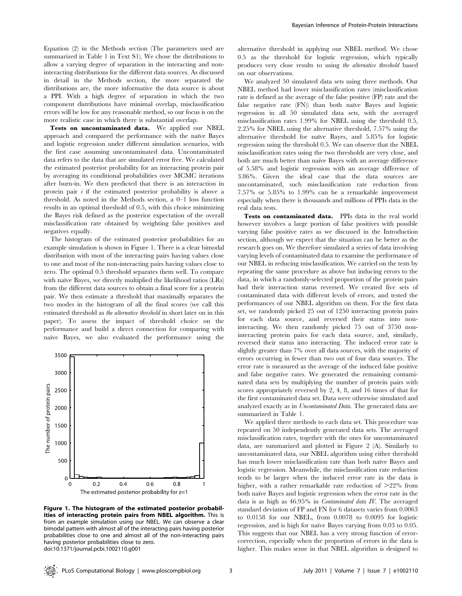Equation (2) in the Methods section (The parameters used are summarized in Table 1 in Text S1). We chose the distributions to allow a varying degree of separation in the interacting and noninteracting distributions for the different data sources. As discussed in detail in the Methods section, the more separated the distributions are, the more informative the data source is about a PPI. With a high degree of separation in which the two component distributions have minimal overlap, misclassification errors will be low for any reasonable method, so our focus is on the more realistic case in which there is substantial overlap.

Tests on uncontaminated data. We applied our NBEL approach and compared the performance with the naïve Bayes and logistic regression under different simulation scenarios, with the first case assuming uncontaminated data. Uncontaminated data refers to the data that are simulated error free. We calculated the estimated posterior probability for an interacting protein pair by averaging its conditional probabilities over MCMC iterations after burn-in. We then predicted that there is an interaction in protein pair  $i$  if the estimated posterior probability is above a threshold. As noted in the Methods section, a 0–1 loss function results in an optimal threshold of 0.5, with this choice minimizing the Bayes risk defined as the posterior expectation of the overall misclassification rate obtained by weighting false positives and negatives equally.

The histogram of the estimated posterior probabilities for an example simulation is shown in Figure 1. There is a clear bimodal distribution with most of the interacting pairs having values close to one and most of the non-interacting pairs having values close to zero. The optimal 0.5 threshold separates them well. To compare with naïve Bayes, we directly multiplied the likelihood ratios (LRs) from the different data sources to obtain a final score for a protein pair. We then estimate a threshold that maximally separates the two modes in the histogram of all the final scores (we call this estimated threshold as the alternative threshold in short later on in this paper). To assess the impact of threshold choice on the performance and build a direct connection for comparing with naïve Bayes, we also evaluated the performance using the



Figure 1. The histogram of the estimated posterior probabilities of interacting protein pairs from NBEL algorithm. This is from an example simulation using our NBEL. We can observe a clear bimodal pattern with almost all of the interacting pairs having posterior probabilities close to one and almost all of the non-interacting pairs having posterior probabilities close to zero. doi:10.1371/journal.pcbi.1002110.g001

alternative threshold in applying our NBEL method. We chose 0.5 as the threshold for logistic regression, which typically produces very close results to using the alternative threshold based on our observations.

We analyzed 50 simulated data sets using three methods. Our NBEL method had lower misclassification rates (misclassification rate is defined as the average of the false positive (FP) rate and the false negative rate (FN)) than both naïve Bayes and logistic regression in all 50 simulated data sets, with the averaged misclassification rates 1.99% for NBEL using the threshold 0.5, 2.25% for NBEL using the alternative threshold, 7.57% using the alternative threshold for naïve Bayes, and 5.85% for logistic regression using the threshold 0.5. We can observe that the NBEL misclassification rates using the two thresholds are very close, and both are much better than naïve Bayes with an average difference of 5.58% and logistic regression with an average difference of 3.86%. Given the ideal case that the data sources are uncontaminated, such misclassification rate reduction from 7.57% or 5.85% to 1.99% can be a remarkable improvement especially when there is thousands and millions of PPIs data in the real data tests.

Tests on contaminated data. PPIs data in the real world however involves a large portion of false positives with possible varying false positive rates as we discussed in the Introduction section, although we expect that the situation can be better as the research goes on. We therefore simulated a series of data involving varying levels of contaminated data to examine the performance of our NBEL in reducing misclassification. We carried on the tests by repeating the same procedure as above but inducing errors to the data, in which a randomly-selected proportion of the protein pairs had their interaction status reversed. We created five sets of contaminated data with different levels of errors, and tested the performances of our NBEL algorithm on them. For the first data set, we randomly picked 25 out of 1250 interacting protein pairs for each data source, and reversed their status into noninteracting. We then randomly picked 75 out of 3750 noninteracting protein pairs for each data source, and, similarly, reversed their status into interacting. The induced error rate is slightly greater than 7% over all data sources, with the majority of errors occurring in fewer than two out of four data sources. The error rate is measured as the average of the induced false positive and false negative rates. We generated the remaining contaminated data sets by multiplying the number of protein pairs with scores appropriately reversed by 2, 4, 8, and 16 times of that for the first contaminated data set. Data were otherwise simulated and analyzed exactly as in Uncontaminated Data. The generated data are summarized in Table 1.

We applied three methods to each data set. This procedure was repeated on 50 independently generated data sets. The averaged misclassification rates, together with the ones for uncontaminated data, are summarized and plotted in Figure 2 (A). Similarly to uncontaminated data, our NBEL algorithm using either threshold has much lower misclassification rate than both naïve Bayes and logistic regression. Meanwhile, the misclassification rate reduction tends to be larger when the induced error rate in the data is higher, with a rather remarkable rate reduction of  $>22\%$  from both naïve Bayes and logistic regression when the error rate in the data is as high as 46.95% in Contaminated data IV. The averaged standard deviation of FP and FN for 6 datasets varies from 0.0063 to 0.0158 for our NBEL, from 0.0078 to 0.0095 for logistic regression, and is high for naïve Bayes varying from 0.03 to 0.05. This suggests that our NBEL has a very strong function of errorcorrection, especially when the proportion of errors in the data is higher. This makes sense in that NBEL algorithm is designed to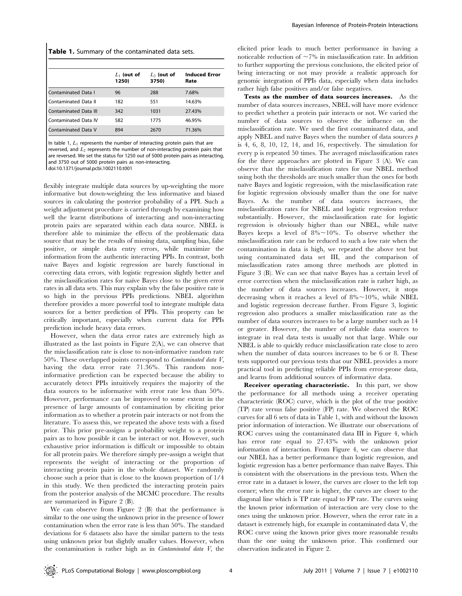|                              | $L_1$ (out of<br>1250) | $L_2$ (out of<br>3750) | <b>Induced Error</b><br>Rate |
|------------------------------|------------------------|------------------------|------------------------------|
| Contaminated Data I          | 96                     | 288                    | 7.68%                        |
| Contaminated Data II         | 182                    | 551                    | 14.63%                       |
| <b>Contaminated Data III</b> | 342                    | 1031                   | 27.43%                       |
| Contaminated Data IV         | 582                    | 1775                   | 46.95%                       |
| Contaminated Data V          | 894                    | 2670                   | 71.36%                       |

In table 1,  $L_1$  represents the number of interacting protein pairs that are reversed, and  $L_2$  represents the number of non-interacting protein pairs that are reversed. We set the status for 1250 out of 5000 protein pairs as interacting, and 3750 out of 5000 protein pairs as non-interacting. doi:10.1371/journal.pcbi.1002110.t001

flexibly integrate multiple data sources by up-weighting the more informative but down-weighting the less informative and biased sources in calculating the posterior probability of a PPI. Such a weight adjustment procedure is carried through by examining how well the learnt distributions of interacting and non-interacting protein pairs are separated within each data source. NBEL is therefore able to minimize the effects of the problematic data source that may be the results of missing data, sampling bias, false positive, or simple data entry errors, while maximize the information from the authentic interacting PPIs. In contrast, both naïve Bayes and logistic regression are barely functional in correcting data errors, with logistic regression slightly better and the misclassification rates for naïve Bayes close to the given error rates in all data sets. This may explain why the false positive rate is so high in the previous PPIs predictions. NBEL algorithm therefore provides a more powerful tool to integrate multiple data sources for a better prediction of PPIs. This property can be critically important, especially when current data for PPIs prediction include heavy data errors.

However, when the data error rates are extremely high as illustrated as the last points in Figure 2(A), we can observe that the misclassification rate is close to non-informative random rate 50%. These overlapped points correspond to Contaminated data V, having the data error rate 71.36%. This random noninformative prediction can be expected because the ability to accurately detect PPIs intuitively requires the majority of the data sources to be informative with error rate less than 50%. However, performance can be improved to some extent in the presence of large amounts of contamination by eliciting prior information as to whether a protein pair interacts or not from the literature. To assess this, we repeated the above tests with a fixed prior. This prior pre-assigns a probability weight to a protein pairs as to how possible it can be interact or not. However, such exhaustive prior information is difficult or impossible to obtain for all protein pairs. We therefore simply pre-assign a weight that represents the weight of interacting or the proportion of interacting protein pairs in the whole dataset. We randomly choose such a prior that is close to the known proportion of 1/4 in this study. We then predicted the interacting protein pairs from the posterior analysis of the MCMC procedure. The results are summarized in Figure 2 (B).

We can observe from Figure 2 (B) that the performance is similar to the one using the unknown prior in the presence of lower contamination when the error rate is less than 50%. The standard deviations for 6 datasets also have the similar pattern to the tests using unknown prior but slightly smaller values. However, when the contamination is rather high as in Contaminated data V, the

elicited prior leads to much better performance in having a noticeable reduction of  $\sim$ 7% in misclassification rate. In addition to further supporting the previous conclusions, the elicited prior of being interacting or not may provide a realistic approach for genomic integration of PPIs data, especially when data includes rather high false positives and/or false negatives.

Tests as the number of data sources increases. As the number of data sources increases, NBEL will have more evidence to predict whether a protein pair interacts or not. We varied the number of data sources to observe the influence on the misclassification rate. We used the first contaminated data, and apply NBEL and naïve Bayes when the number of data sources  $$ is 4, 6, 8, 10, 12, 14, and 16, respectively. The simulation for every p is repeated 50 times. The averaged misclassification rates for the three approaches are plotted in Figure 3 (A). We can observe that the misclassification rates for our NBEL method using both the thresholds are much smaller than the ones for both naïve Bayes and logistic regression, with the misclassification rate for logistic regression obviously smaller than the one for naïve Bayes. As the number of data sources increases, the misclassification rates for NBEL and logistic regression reduce substantially. However, the misclassification rate for logistic regression is obviously higher than our NBEL, while naïve Bayes keeps a level of  $8\%$  ~10%. To observe whether the misclassification rate can be reduced to such a low rate when the contamination in data is high, we repeated the above test but using contaminated data set III, and the comparison of misclassification rates among three methods are plotted in Figure 3 (B). We can see that naïve Bayes has a certain level of error correction when the misclassification rate is rather high, as the number of data sources increases. However, it stops decreasing when it reaches a level of  $8\% \sim 10\%$ , while NBEL and logistic regression decrease further. From Figure 3, logistic regression also produces a smaller misclassification rate as the number of data sources increases to be a large number such as 14 or greater. However, the number of reliable data sources to integrate in real data tests is usually not that large. While our NBEL is able to quickly reduce misclassification rate close to zero when the number of data sources increases to be 6 or 8. These tests supported our previous tests that our NBEL provides a more practical tool in predicting reliable PPIs from error-prone data, and learns from additional sources of informative data.

Receiver operating characteristic. In this part, we show the performance for all methods using a receiver operating characteristic (ROC) curve, which is the plot of the true positive (TP) rate versus false positive (FP) rate. We observed the ROC curves for all 6 sets of data in Table 1, with and without the known prior information of interaction. We illustrate our observations of ROC curves using the contaminated data III in Figure 4, which has error rate equal to 27.43% with the unknown prior information of interaction. From Figure 4, we can observe that our NBEL has a better performance than logistic regression, and logistic regression has a better performance than naïve Bayes. This is consistent with the observations in the previous tests. When the error rate in a dataset is lower, the curves are closer to the left top corner; when the error rate is higher, the curves are closer to the diagonal line which is TP rate equal to FP rate. The curves using the known prior information of interaction are very close to the ones using the unknown prior. However, when the error rate in a dataset is extremely high, for example in contaminated data V, the ROC curve using the known prior gives more reasonable results than the one using the unknown prior. This confirmed our observation indicated in Figure 2.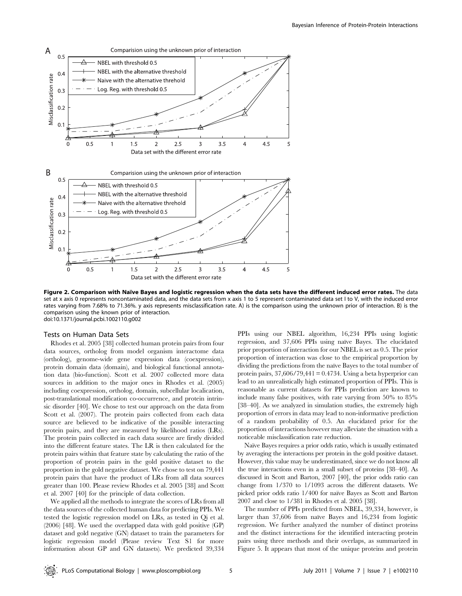

Figure 2. Comparison with Naïve Bayes and logistic regression when the data sets have the different induced error rates. The data set at x axis 0 represents noncontaminated data, and the data sets from x axis 1 to 5 represent contaminated data set I to V, with the induced error rates varying from 7.68% to 71.36%. y axis represents misclassification rate. A) is the comparison using the unknown prior of interaction. B) is the comparison using the known prior of interaction. doi:10.1371/journal.pcbi.1002110.g002

#### Tests on Human Data Sets

Rhodes et al. 2005 [38] collected human protein pairs from four data sources, ortholog from model organism interactome data (ortholog), genome-wide gene expression data (coexpression), protein domain data (domain), and biological functional annotation data (bio-function). Scott et al. 2007 collected more data sources in addition to the major ones in Rhodes et al. (2005) including coexpression, ortholog, domain, subcellular localication, post-translational modification co-occurrence, and protein intrinsic disorder [40]. We chose to test our approach on the data from Scott et al. (2007). The protein pairs collected from each data source are believed to be indicative of the possible interacting protein pairs, and they are measured by likelihood ratios (LRs). The protein pairs collected in each data source are firstly divided into the different feature states. The LR is then calculated for the protein pairs within that feature state by calculating the ratio of the proportion of protein pairs in the gold positive dataset to the proportion in the gold negative dataset. We chose to test on 79,441 protein pairs that have the product of LRs from all data sources greater than 100. Please review Rhodes et al. 2005 [38] and Scott et al. 2007 [40] for the principle of data collection.

We applied all the methods to integrate the scores of LRs from all the data sources of the collected human data for predicting PPIs. We tested the logistic regression model on LRs, as tested in Qi et al. (2006) [48]. We used the overlapped data with gold positive (GP) dataset and gold negative (GN) dataset to train the parameters for logistic regression model (Please review Text S1 for more information about GP and GN datasets). We predicted 39,334

PPIs using our NBEL algorithm, 16,234 PPIs using logistic regression, and 37,606 PPIs using naïve Bayes. The elucidated prior proportion of interaction for our NBEL is set as 0.5. The prior proportion of interaction was close to the empirical proportion by dividing the predictions from the naïve Bayes to the total number of protein pairs,  $37,606/79,441 = 0.4734$ . Using a beta hyperprior can lead to an unrealistically high estimated proportion of PPIs. This is reasonable as current datasets for PPIs prediction are known to include many false positives, with rate varying from 50% to 85% [38–40]. As we analyzed in simulation studies, the extremely high proportion of errors in data may lead to non-informative prediction of a random probability of 0.5. An elucidated prior for the proportion of interactions however may alleviate the situation with a noticeable misclassification rate reduction.

Naïve Bayes requires a prior odds ratio, which is usually estimated by averaging the interactions per protein in the gold positive dataset. However, this value may be underestimated, since we do not know all the true interactions even in a small subset of proteins [38–40]. As discussed in Scott and Barton, 2007 [40], the prior odds ratio can change from 1/370 to 1/1093 across the different datasets. We picked prior odds ratio 1/400 for naïve Bayes as Scott and Barton 2007 and close to 1/381 in Rhodes et al. 2005 [38].

The number of PPIs predicted from NBEL, 39,334, however, is larger than 37,606 from naïve Bayes and 16,234 from logistic regression. We further analyzed the number of distinct proteins and the distinct interactions for the identified interacting protein pairs using three methods and their overlaps, as summarized in Figure 5. It appears that most of the unique proteins and protein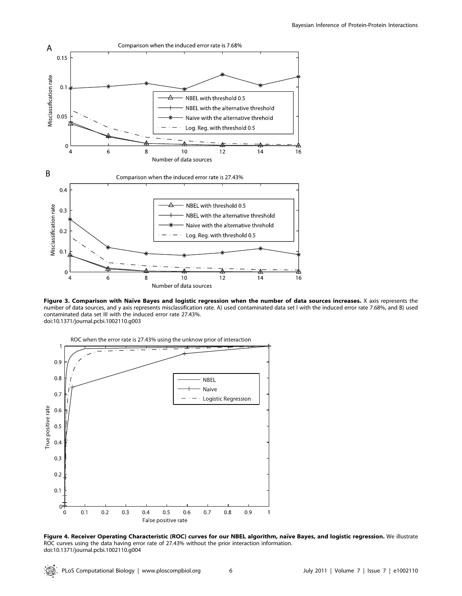

Figure 3. Comparison with Naïve Bayes and logistic regression when the number of data sources increases. X axis represents the number of data sources, and y axis represents misclassification rate. A) used contaminated data set I with the induced error rate 7.68%, and B) used contaminated data set III with the induced error rate 27.43%. doi:10.1371/journal.pcbi.1002110.g003



Figure 4. Receiver Operating Characteristic (ROC) curves for our NBEL algorithm, naïve Bayes, and logistic regression. We illustrate ROC curves using the data having error rate of 27.43% without the prior interaction information. doi:10.1371/journal.pcbi.1002110.g004

PLoS Computational Biology | www.ploscompbiol.org 6 degree and the July 2011 | Volume 7 | Issue 7 | e1002110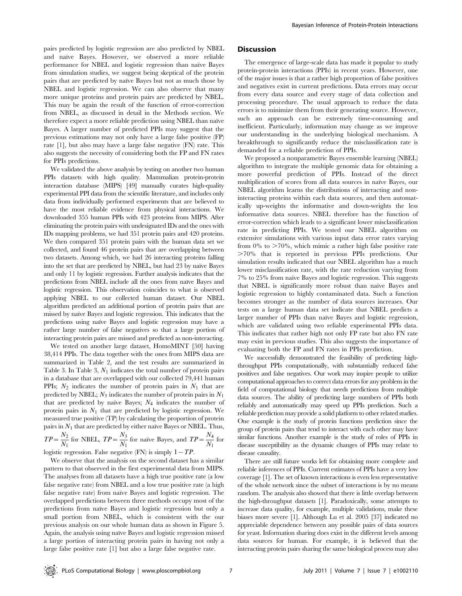pairs predicted by logistic regression are also predicted by NBEL and naïve Bayes. However, we observed a more reliable performance for NBEL and logistic regression than naïve Bayes from simulation studies, we suggest being skeptical of the protein pairs that are predicted by naïve Bayes but not as much those by NBEL and logistic regression. We can also observe that many more unique proteins and protein pairs are predicted by NBEL. This may be again the result of the function of error-correction from NBEL, as discussed in detail in the Methods section. We therefore expect a more reliable prediction using NBEL than naïve Bayes. A larger number of predicted PPIs may suggest that the previous estimations may not only have a large false positive (FP) rate [1], but also may have a large false negative (FN) rate. This also suggests the necessity of considering both the FP and FN rates for PPIs predictions.

We validated the above analysis by testing on another two human PPIs datasets with high quality. Mammalian protein-protein interaction database (MIPS) [49] manually curates high-quality experimental PPI data from the scientific literature, and includes only data from individually performed experiments that are believed to have the most reliable evidence from physical interactions. We downloaded 355 human PPIs with 423 proteins from MIPS. After eliminating the protein pairs with undesignated IDs and the ones with IDs mapping problems, we had 351 protein pairs and 420 proteins. We then compared 351 protein pairs with the human data set we collected, and found 46 protein pairs that are overlapping between two datasets. Among which, we had 26 interacting proteins falling into the set that are predicted by NBEL, but had 23 by naïve Bayes and only 11 by logistic regression. Further analysis indicates that the predictions from NBEL include all the ones from naïve Bayes and logistic regression. This observation coincides to what is observed applying NBEL to our collected human dataset. Our NBEL algorithm predicted an additional portion of protein pairs that are missed by naïve Bayes and logistic regression. This indicates that the predictions using naïve Bayes and logistic regression may have a rather large number of false negatives so that a large portion of interacting protein pairs are missed and predicted as non-interacting.

We tested on another large dataset, HomoMINT [50] having 38,414 PPIs. The data together with the ones from MIPS data are summarized in Table 2, and the test results are summarized in Table 3. In Table 3,  $N_1$  indicates the total number of protein pairs in a database that are overlapped with our collected 79,441 human PPIs;  $N_2$  indicates the number of protein pairs in  $N_1$  that are predicted by NBEL;  $N_3$  indicates the number of protein pairs in  $N_1$ that are predicted by naïve Bayes;  $N_4$  indicates the number of protein pairs in  $N_1$  that are predicted by logistic regression. We measured true positive (TP) by calculating the proportion of protein pairs in  $N_1$  that are predicted by either naïve Bayes or NBEL. Thus,  $TP = \frac{N_2}{N_1}$  for NBEL,  $TP = \frac{N_3}{N_1}$  for naïve Bayes, and  $TP = \frac{N_4}{N_1}$  for logistic regression. False negative (FN) is simply  $1 - TP$ .

We observe that the analysis on the second dataset has a similar pattern to that observed in the first experimental data from MIPS. The analyses from all datasets have a high true positive rate (a low false negative rate) from NBEL and a low true positive rate (a high false negative rate) from naïve Bayes and logistic regression. The overlapped predictions between three methods occupy most of the predictions from naïve Bayes and logistic regression but only a small portion from NBEL, which is consistent with the our previous analysis on our whole human data as shown in Figure 5. Again, the analysis using naïve Bayes and logistic regression missed a large portion of interacting protein pairs in having not only a large false positive rate [1] but also a large false negative rate.

# **Discussion**

The emergence of large-scale data has made it popular to study protein-protein interactions (PPIs) in recent years. However, one of the major issues is that a rather high proportion of false positives and negatives exist in current predictions. Data errors may occur from every data source and every stage of data collection and processing procedure. The usual approach to reduce the data errors is to minimize them from their generating source. However, such an approach can be extremely time-consuming and inefficient. Particularly, information may change as we improve our understanding in the underlying biological mechanism. A breakthrough to significantly reduce the misclassification rate is demanded for a reliable prediction of PPIs.

We proposed a nonparametric Bayes ensemble learning (NBEL) algorithm to integrate the multiple genomic data for obtaining a more powerful prediction of PPIs. Instead of the direct multiplication of scores from all data sources in naïve Bayes, our NBEL algorithm learns the distributions of interacting and noninteracting proteins within each data sources, and then automatically up-weights the informative and down-weights the less informative data sources. NBEL therefore has the function of error-correction which leads to a significant lower misclassification rate in predicting PPIs. We tested our NBEL algorithm on extensive simulations with various input data error rates varying from  $0\%$  to  $>70\%$ , which mimic a rather high false positive rate .70% that is reported in previous PPIs predictions. Our simulation results indicated that our NBEL algorithm has a much lower misclassification rate, with the rate reduction varying from 7% to 25% from naïve Bayes and logistic regression. This suggests that NBEL is significantly more robust than naïve Bayes and logistic regression to highly contaminated data. Such a function becomes stronger as the number of data sources increases. Our tests on a large human data set indicate that NBEL predicts a larger number of PPIs than naïve Bayes and logistic regression, which are validated using two reliable experimental PPIs data. This indicates that rather high not only FP rate but also FN rate may exist in previous studies. This also suggests the importance of evaluating both the FP and FN rates in PPIs prediction.

We successfully demonstrated the feasibility of predicting highthroughput PPIs computationally, with substantially reduced false positives and false negatives. Our work may inspire people to utilize computational approaches to correct data errors for any problem in the field of computational biology that needs predictions from multiple data sources. The ability of predicting large numbers of PPIs both reliably and automatically may speed up PPIs prediction. Such a reliable prediction may provide a solid platform to other related studies. One example is the study of protein functions prediction since the group of protein pairs that tend to interact with each other may have similar functions. Another example is the study of roles of PPIs in disease susceptibility as the dynamic changes of PPIs may relate to disease causality.

There are still future works left for obtaining more complete and reliable inferences of PPIs. Current estimates of PPIs have a very low coverage [1]. The set of known interactions is even less representative of the whole network since the subset of interactions is by no means random. The analysis also showed that there is little overlap between the high-throughput datasets [1]. Paradoxically, some attempts to increase data quality, for example, multiple validations, make these biases more severe [1]. Although Lu et al. 2005 [37] indicated no appreciable dependence between any possible pairs of data sources for yeast. Information sharing does exist in the different levels among data sources for human. For example, it is believed that the interacting protein pairs sharing the same biological process may also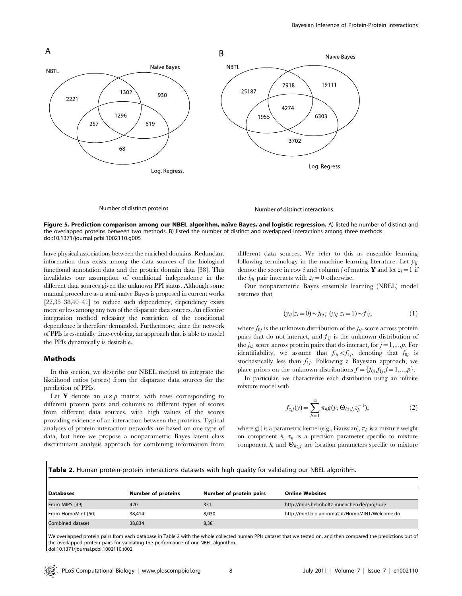

Number of distinct proteins

Number of distinct interactions

Figure 5. Prediction comparison among our NBEL algorithm, naïve Bayes, and logistic regression. A) listed he number of distinct and the overlapped proteins between two methods. B) listed the number of distinct and overlapped interactions among three methods. doi:10.1371/journal.pcbi.1002110.g005

have physical associations between the enriched domains. Redundant information thus exists among the data sources of the biological functional annotation data and the protein domain data [38]. This invalidates our assumption of conditional independence in the different data sources given the unknown PPI status. Although some manual procedure as a semi-naïve Bayes is proposed in current works [22,35–38,40–41] to reduce such dependency, dependency exists more or less among any two of the disparate data sources. An effective integration method releasing the restriction of the conditional dependence is therefore demanded. Furthermore, since the network of PPIs is essentially time-evolving, an approach that is able to model the PPIs dynamically is desirable.

#### Methods

In this section, we describe our NBEL method to integrate the likelihood ratios (scores) from the disparate data sources for the prediction of PPIs.

Let Y denote an  $n \times p$  matrix, with rows corresponding to different protein pairs and columns to different types of scores from different data sources, with high values of the scores providing evidence of an interaction between the proteins. Typical analyses of protein interaction networks are based on one type of data, but here we propose a nonparametric Bayes latent class discriminant analysis approach for combining information from different data sources. We refer to this as ensemble learning following terminology in the machine learning literature. Let  $y_{ii}$ denote the score in row i and column j of matrix **Y** and let  $z_i = 1$  if the  $i_{th}$  pair interacts with  $z_i=0$  otherwise.

Our nonparametric Bayes ensemble learning (NBEL) model assumes that

$$
(y_{ij}|z_i=0) \sim f_{0j}; \ (y_{ij}|z_i=1) \sim f_{1j}, \tag{1}
$$

where  $f_{0j}$  is the unknown distribution of the  $j_{th}$  score across protein pairs that do not interact, and  $f_{1j}$  is the unknown distribution of the  $j_{th}$  score across protein pairs that do interact, for  $j=1,...,p$ . For identifiability, we assume that  $f_{0j} < f_{1j}$ , denoting that  $f_{0j}$  is stochastically less than  $f_{1j}$ . Following a Bayesian approach, we place priors on the unknown distributions  $f = \{f_{0j}, f_{1j}, j=1,...,p\}$ .

In particular, we characterize each distribution using an infinite mixture model with

$$
f_{zjj}(y) = \sum_{h=1}^{\infty} \pi_h g(y; \Theta_{hzjj}, \tau_h^{-1}),
$$
 (2)

where g(.) is a parametric kernel (e.g., Gaussian),  $\pi_h$  is a mixture weight on component h,  $\tau_h$  is a precision parameter specific to mixture component h, and  $\Theta_{hzij}$  are location parameters specific to mixture

Table 2. Human protein-protein interactions datasets with high quality for validating our NBEL algorithm.

| l Databases        | <b>Number of proteins</b> | Number of protein pairs | <b>Online Websites</b>                          |  |
|--------------------|---------------------------|-------------------------|-------------------------------------------------|--|
| From MIPS [49]     | 420                       | 351                     | http://mips.helmholtz-muenchen.de/proj/ppi/     |  |
| From HomoMint [50] | 38.414                    | 8,030                   | http://mint.bio.uniroma2.it/HomoMINT/Welcome.do |  |
| Combined dataset   | 38,834                    | 8,381                   |                                                 |  |

We overlapped protein pairs from each database in Table 2 with the whole collected human PPIs dataset that we tested on, and then compared the predictions out of the overlapped protein pairs for validating the performance of our NBEL algorithm. doi:10.1371/journal.pcbi.1002110.t002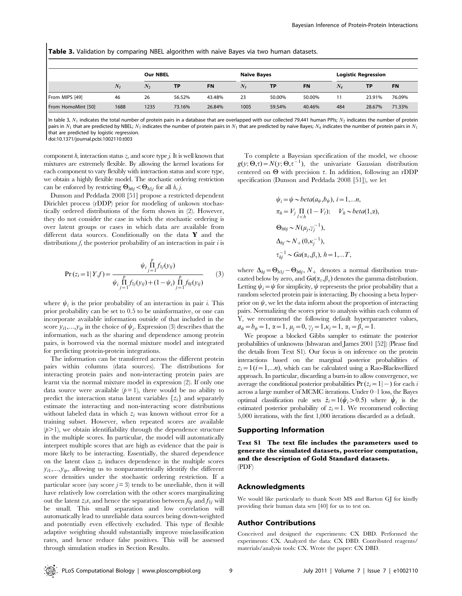Table 3. Validation by comparing NBEL algorithm with naïve Bayes via two human datasets.

|                    |       |       | <b>Our NBEL</b> |           |       | <b>Naïve Bayes</b> |           |       | <b>Logistic Regression</b> |           |  |
|--------------------|-------|-------|-----------------|-----------|-------|--------------------|-----------|-------|----------------------------|-----------|--|
|                    | $N_I$ | $N_2$ | ТP              | <b>FN</b> | $N_3$ | <b>TP</b>          | <b>FN</b> | $N_4$ | ТP                         | <b>FN</b> |  |
| From MIPS [49]     | 46    | 26    | 56.52%          | 43.48%    | 23    | 50.00%             | 50.00%    | 11    | 23.91%                     | 76.09%    |  |
| From HomoMint [50] | 1688  | 1235  | 73.16%          | 26.84%    | 1005  | 59.54%             | 40.46%    | 484   | 28.67%                     | 71.33%    |  |

In table 3,  $N_1$  indicates the total number of protein pairs in a database that are overlapped with our collected 79,441 human PPIs;  $N_2$  indicates the number of protein pairs in  $N_1$  that are predicted by NBEL;  $N_3$  indicates the number of protein pairs in  $N_1$  that are predicted by naïve Bayes;  $N_4$  indicates the number of protein pairs in  $N_1$ that are predicted by logistic regression.

doi:10.1371/journal.pcbi.1002110.t003

component  $h$ , interaction status  $z$ , and score type  $j$ . It is well known that mixtures are extremely flexible. By allowing the kernel locations for each component to vary flexibly with interaction status and score type, we obtain a highly flexible model. The stochastic ordering restriction can be enforced by restricting  $\Theta_{h0j} < \Theta_{h1j}$  for all h, j.

Dunson and Peddada 2008 [51] propose a restricted dependent Dirichlet process (rDDP) prior for modeling of unkown stochastically ordered distributions of the form shown in (2). However, they do not consider the case in which the stochastic ordering is over latent groups or cases in which data are available from different data sources. Conditionally on the data  $\mathbf{Y}$  and the distributions f, the posterior probability of an interaction in pair  $i$  is

$$
\Pr(z_i = 1 | Y_i f) = \frac{\psi_i \prod_{j=1}^p f_{1j}(y_{ij})}{\psi_i \prod_{j=1}^p f_{1j}(y_{ij}) + (1 - \psi_i) \prod_{j=1}^p f_{0j}(y_{ij})}
$$
(3)

where  $\psi_i$  is the prior probability of an interaction in pair i. This prior probability can be set to 0.5 to be uninformative, or one can incorporate available information outside of that included in the score  $y_{i1},...,y_{in}$  in the choice of  $\psi_i$ . Expression (3) describes that the information, such as the sharing and dependence among protein pairs, is borrowed via the normal mixture model and integrated for predicting protein-protein integrations.

The information can be transferred across the different protein pairs within columns (data sources). The distributions for interacting protein pairs and non-interacting protein pairs are learnt via the normal mixture model in expression (2). If only one data source were available  $(p=1)$ , there would be no ability to predict the interaction status latent variables  $\{z_i\}$  and separately estimate the interacting and non-interacting score distributions without labeled data in which  $z_i$  was known without error for a training subset. However, when repeated scores are available  $(p>1)$ , we obtain identifiability through the dependence structure in the multiple scores. In particular, the model will automatically interpret multiple scores that are high as evidence that the pair is more likely to be interacting. Essentially, the shared dependence on the latent class  $z_i$  induces dependence in the multiple scores  $y_{i1},...,y_{ip}$ , allowing us to nonparametrically identify the different score densities under the stochastic ordering restriction. If a particular score (say score  $j=3$ ) tends to be unreliable, then it will have relatively low correlation with the other scores marginalizing out the latent  $z_i$ s, and hence the separation between  $f_{0j}$  and  $f_{1j}$  will be small. This small separation and low correlation will automatically lead to unreliable data sources being down-weighted and potentially even effectively excluded. This type of flexible adaptive weighting should substantially improve misclassification rates, and hence reduce false positives. This will be assessed through simulation studies in Section Results.

To complete a Bayesian specification of the model, we choose  $g(y; \Theta, \tau) = N(y; \Theta, \tau^{-1}),$  the univariate Gaussian distribution centered on  $\Theta$  with precision  $\tau$ . In addition, following an rDDP specification (Dunson and Peddada 2008 [51]), we let

$$
\psi_i = \psi \sim beta(a_{\psi}, b_{\psi}), i = 1,...n,
$$
  
\n
$$
\pi_h = V_j \prod_{l < h} (1 - V_l); \quad V_h \sim beta(1, \alpha),
$$
  
\n
$$
\Theta_{h0j} \sim N(\mu_j, \gamma_j^{-1}),
$$
  
\n
$$
\Delta_{hj} \sim N_+(0, \kappa_j^{-1}),
$$
  
\n
$$
\tau_{hj}^{-1} \sim Ga(\alpha_{\tau}, \beta_{\tau}), h = 1,...T,
$$

where  $\Delta_{hi}=\Theta_{h1j}-\Theta_{h0j}$ ,  $N_+$  denotes a normal distribution truncazted below by zero, and  $Ga(\alpha_{\tau},\beta_{\tau})$  denotes the gamma distribution. Letting  $\psi_i = \psi$  for simplicity,  $\psi$  represents the prior probability that a random selected protein pair is interacting. By choosing a beta hyperprior on  $\psi$ , we let the data inform about the proportion of interacting pairs. Normalizing the scores prior to analysis within each column of Y, we recommend the following default hyperparameter values,  $a_{\psi}=b_{\psi}=1, \ \alpha=1, \ \mu_{j}=0, \ \gamma_{j}=1, \kappa_{j}=1, \ \alpha_{\tau}=\beta_{\tau}=1.$ 

We propose a blocked Gibbs sampler to estimate the posterior probabilities of unknowns (Ishwaran and James 2001 [52]) (Please find the details from Text S1). Our focus is on inference on the protein interactions based on the marginal posterior probabilities of  $z_i=1 (i=1,...n)$ , which can be calculated using a Rao-Blackwellized approach. In particular, discarding a burn-in to allow convergence, we average the conditional posterior probabilities  $Pr(z_i=1|-)$  for each i across a large number of MCMC iterations. Under 0–1 loss, the Bayes optimal classification rule sets  $\hat{z}_i=1(\psi_i>0.5)$  where  $\psi_i$  is the estimated posterior probability of  $z_i=1$ . We recommend collecting 5,000 iterations, with the first 1,000 iterations discarded as a default.

#### Supporting Information

Text S1 The text file includes the parameters used to generate the simulated datasets, posterior computation, and the description of Gold Standard datasets. (PDF)

#### Acknowledgments

We would like particularly to thank Scott MS and Barton GJ for kindly providing their human data sets [40] for us to test on.

#### Author Contributions

Conceived and designed the experiments: CX DBD. Performed the experiments: CX. Analyzed the data: CX DBD. Contributed reagents/ materials/analysis tools: CX. Wrote the paper: CX DBD.